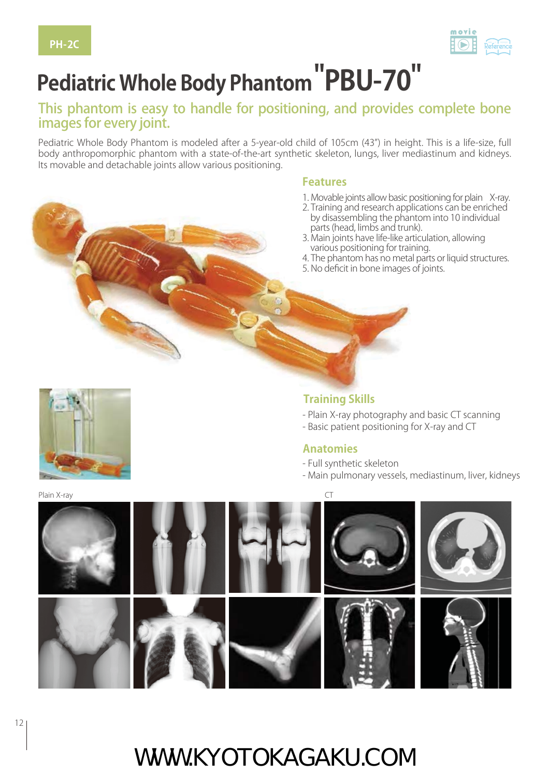

# **Pediatric Whole Body Phantom "PBU-70"**

#### This phantom is easy to handle for positioning, and provides complete bone images for every joint.

Pediatric Whole Body Phantom is modeled after a 5-year-old child of 105cm (43") in height. This is a life-size, full body anthropomorphic phantom with a state-of-the-art synthetic skeleton, lungs, liver mediastinum and kidneys. Its movable and detachable joints allow various positioning.

#### **Features**

- 1. Movable joints allow basic positioning for plain X-ray.
- 2. Training and research applications can be enriched by disassembling the phantom into 10 individual
- parts (head, limbs and trunk). 3. Main joints have life-like articulation, allowing various positioning for training.
- 4. The phantom has no metal parts or liquid structures.
- 5. No deficit in bone images of joints.



#### **Training Skills**

- Plain X-ray photography and basic CT scanning
- Basic patient positioning for X-ray and CT

#### **Anatomies**

- Full synthetic skeleton
- Main pulmonary vessels, mediastinum, liver, kidneys



## WWW.KYOTOKAGAKU.COM